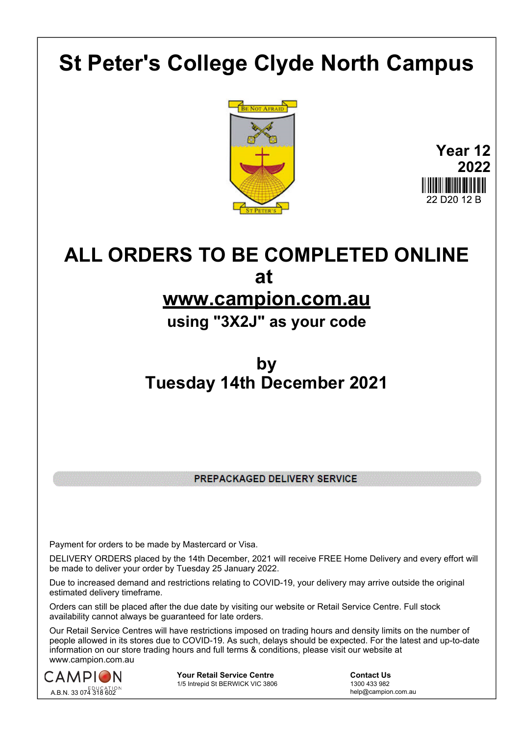## **St Peter's College Clyde North Campus**



**Year 12 2022** 22 D<sub>20</sub> 12 B

## **ALL ORDERS TO BE COMPLETED ONLINE at**

## **www.campion.com.au**

**using "3X2J" as your code**

## **by Tuesday 14th December 2021**

PREPACKAGED DELIVERY SERVICE

Payment for orders to be made by Mastercard or Visa.

DELIVERY ORDERS placed by the 14th December, 2021 will receive FREE Home Delivery and every effort will be made to deliver your order by Tuesday 25 January 2022.

Due to increased demand and restrictions relating to COVID-19, your delivery may arrive outside the original estimated delivery timeframe.

Orders can still be placed after the due date by visiting our website or Retail Service Centre. Full stock availability cannot always be guaranteed for late orders.

Our Retail Service Centres will have restrictions imposed on trading hours and density limits on the number of people allowed in its stores due to COVID-19. As such, delays should be expected. For the latest and up-to-date information on our store trading hours and full terms & conditions, please visit our website at www.campion.com.au



**Your Retail Service Centre** <br>
1/5 Intrepid St BERWICK VIC 3806<br>
1300 433 982 1/5 Intrepid St BERWICK VIC 3806

help@campion.com.au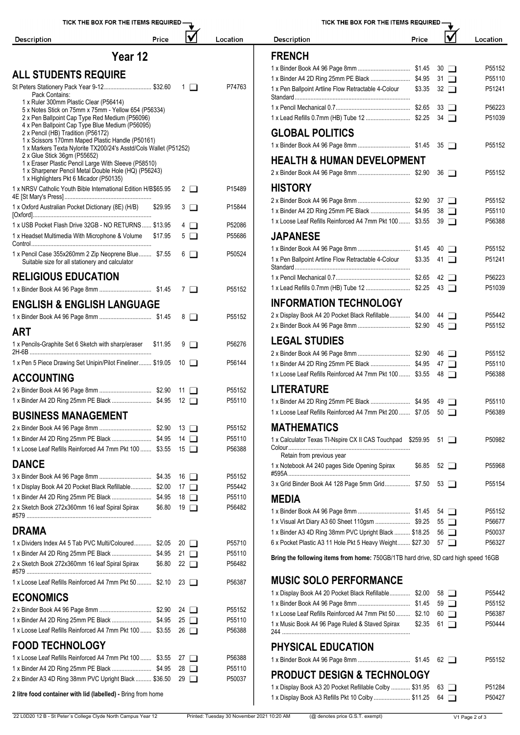| TICK THE BOX FOR THE ITEMS REQUIRED-                                                                                                                                                                          |                             |                    | TICK THE BO                                                          |
|---------------------------------------------------------------------------------------------------------------------------------------------------------------------------------------------------------------|-----------------------------|--------------------|----------------------------------------------------------------------|
| Price<br><b>Description</b>                                                                                                                                                                                   |                             | Location           | <b>Description</b>                                                   |
| Year 12                                                                                                                                                                                                       |                             |                    | <b>FRENCH</b>                                                        |
| <b>ALL STUDENTS REQUIRE</b>                                                                                                                                                                                   |                             |                    | 1 x Binder Book A4 96 Page 8mm                                       |
| St Peters Stationery Pack Year 9-12 \$32.60<br>Pack Contains:                                                                                                                                                 | $1\Box$                     | P74763             | 1 x Binder A4 2D Ring 25mm PE<br>1 x Pen Ballpoint Artline Flow Ret  |
| 1 x Ruler 300mm Plastic Clear (P56414)<br>5 x Notes Stick on 75mm x 75mm - Yellow 654 (P56334)<br>2 x Pen Ballpoint Cap Type Red Medium (P56096)                                                              |                             |                    | 1 x Pencil Mechanical 0.7<br>1 x Lead Refills 0.7mm (HB) Tube        |
| 4 x Pen Ballpoint Cap Type Blue Medium (P56095)<br>2 x Pencil (HB) Tradition (P56172)<br>1 x Scissors 170mm Maped Plastic Handle (P50161)<br>1 x Markers Texta Nylorite TX200/24's Asstd/Cols Wallet (P51252) |                             |                    | <b>GLOBAL POLITICS</b><br>1 x Binder Book A4 96 Page 8mm             |
| 2 x Glue Stick 36gm (P55652)<br>1 x Eraser Plastic Pencil Large With Sleeve (P58510)<br>1 x Sharpener Pencil Metal Double Hole (HQ) (P56243)                                                                  |                             |                    | <b>HEALTH &amp; HUMAN</b><br>2 x Binder Book A4 96 Page 8mm          |
| 1 x Highlighters Pkt 6 Micador (P50135)<br>1 x NRSV Catholic Youth Bible International Edition H/B\$65.95                                                                                                     | $2\Box$                     | P <sub>15489</sub> | <b>HISTORY</b>                                                       |
| 1 x Oxford Australian Pocket Dictionary (8E) (H/B)<br>\$29.95                                                                                                                                                 | $3 \Box$                    | P15844             | 2 x Binder Book A4 96 Page 8mm<br>1 x Binder A4 2D Ring 25mm PE      |
| 1 x USB Pocket Flash Drive 32GB - NO RETURNS  \$13.95                                                                                                                                                         | 4   1                       | P52086             | 1 x Loose Leaf Refills Reinforced                                    |
| 1 x Headset Multimedia With Microphone & Volume<br>\$17.95                                                                                                                                                    | $5\Box$                     | P55686             | <b>JAPANESE</b>                                                      |
| 1 x Pencil Case 355x260mm 2 Zip Neoprene Blue \$7.55<br>Suitable size for all stationery and calculator                                                                                                       | $6\Box$                     | P50524             | 1 x Binder Book A4 96 Page 8mm<br>1 x Pen Ballpoint Artline Flow Ret |
| <b>RELIGIOUS EDUCATION</b>                                                                                                                                                                                    |                             |                    | 1 x Pencil Mechanical 0.7                                            |
|                                                                                                                                                                                                               | $7\Box$                     | P55152             | 1 x Lead Refills 0.7mm (HB) Tube                                     |
| <b>ENGLISH &amp; ENGLISH LANGUAGE</b>                                                                                                                                                                         |                             |                    | <b>INFORMATION TEC</b>                                               |
| <b>ART</b>                                                                                                                                                                                                    | 8 □                         | P55152             | 2 x Display Book A4 20 Pocket Bl:<br>2 x Binder Book A4 96 Page 8mm  |
| 1 x Pencils-Graphite Set 6 Sketch with sharp/eraser<br>\$11.95                                                                                                                                                | 9 □                         | P56276             | <b>LEGAL STUDIES</b>                                                 |
| 1 x Pen 5 Piece Drawing Set Unipin/Pilot Fineliner \$19.05                                                                                                                                                    | 10<br>$\Box$                | P56144             | 2 x Binder Book A4 96 Page 8mm<br>1 x Binder A4 2D Ring 25mm PE      |
| <b>ACCOUNTING</b>                                                                                                                                                                                             |                             |                    | 1 x Loose Leaf Refills Reinforced                                    |
| 1 x Binder A4 2D Ring 25mm PE Black  \$4.95                                                                                                                                                                   | 11<br>$\Box$<br>$12 \Box$   | P55152<br>P55110   | <b>LITERATURE</b><br>1 x Binder A4 2D Ring 25mm PE                   |
| <b>BUSINESS MANAGEMENT</b>                                                                                                                                                                                    |                             |                    | 1 x Loose Leaf Refills Reinforced                                    |
|                                                                                                                                                                                                               | 13 ⊔                        | P55152             | <b>MATHEMATICS</b>                                                   |
| 1 x Binder A4 2D Ring 25mm PE Black  \$4.95<br>1 x Loose Leaf Refills Reinforced A4 7mm Pkt 100  \$3.55                                                                                                       | 14<br>$\Box$<br>$15$ $\Box$ | P55110<br>P56388   | 1 x Calculator Texas TI-Nspire CX                                    |
| <b>DANCE</b>                                                                                                                                                                                                  |                             |                    | Retain from previous year<br>1 x Notebook A4 240 pages Side          |
|                                                                                                                                                                                                               | 16 ∐                        | P55152             | 3 x Grid Binder Book A4 128 Page                                     |
| 1 x Display Book A4 20 Pocket Black Refillable \$2.00                                                                                                                                                         | 17 $\Box$<br>18 □           | P55442<br>P55110   |                                                                      |
| 2 x Sketch Book 272x360mm 16 leaf Spiral Spirax<br>\$6.80                                                                                                                                                     | 19 $\Box$                   | P56482             | <b>MEDIA</b><br>1 x Binder Book A4 96 Page 8mm                       |
| <b>DRAMA</b>                                                                                                                                                                                                  |                             |                    | 1 x Visual Art Diary A3 60 Sheet 1<br>1 x Binder A3 4D Ring 38mm PV  |
| 1 x Dividers Index A4 5 Tab PVC Multi/Coloured \$2.05                                                                                                                                                         | 20<br>$\mathbf{L}$          | P55710             | 6 x Pocket Plastic A3 11 Hole Pkt                                    |
|                                                                                                                                                                                                               | 21 $\Box$                   | P55110             | Bring the following items from I                                     |
| 2 x Sketch Book 272x360mm 16 leaf Spiral Spirax<br>\$6.80                                                                                                                                                     | 22 $\Box$                   | P56482             |                                                                      |
| 1 x Loose Leaf Refills Reinforced A4 7mm Pkt 50  \$2.10                                                                                                                                                       | $23 \Box$                   | P56387             | <b>MUSIC SOLO PERF</b>                                               |
| <b>ECONOMICS</b>                                                                                                                                                                                              |                             |                    | 1 x Display Book A4 20 Pocket Bl                                     |
|                                                                                                                                                                                                               | 24 O                        | P55152             | 1 x Binder Book A4 96 Page 8mm<br>1 x Loose Leaf Refills Reinforced  |
| 1 x Loose Leaf Refills Reinforced A4 7mm Pkt 100  \$3.55                                                                                                                                                      | $25$ $\Box$<br>$26$ $\Box$  | P55110<br>P56388   | 1 x Music Book A4 96 Page Ruleo                                      |
| <b>FOOD TECHNOLOGY</b>                                                                                                                                                                                        |                             |                    | <b>PHYSICAL EDUCAT</b>                                               |
| 1 x Loose Leaf Refills Reinforced A4 7mm Pkt 100  \$3.55                                                                                                                                                      | 27<br>$\Box$                | P56388             | 1 x Binder Book A4 96 Page 8mm                                       |
|                                                                                                                                                                                                               | 28<br>$\Box$                | P55110             | <b>PRODUCT DESIGN</b>                                                |
| 2 x Binder A3 4D Ring 38mm PVC Upright Black  \$36.50                                                                                                                                                         | $29$ $\Box$                 | P50037             | 1 x Display Book A3 20 Pocket Re                                     |
| 2 litre food container with lid (labelled) - Bring from home                                                                                                                                                  |                             |                    | 1 x Display Book A3 Refills Pkt 10                                   |

| TICK THE BOX FOR THE ITEMS REQUIRED -                                              |        |    |                |          |  |  |  |
|------------------------------------------------------------------------------------|--------|----|----------------|----------|--|--|--|
| <b>Description</b>                                                                 | Price  |    |                | Location |  |  |  |
| <b>FRENCH</b>                                                                      |        |    |                |          |  |  |  |
|                                                                                    |        | 30 | $\perp$        | P55152   |  |  |  |
|                                                                                    |        |    | $31$ $\Box$    | P55110   |  |  |  |
| 1 x Pen Ballpoint Artline Flow Retractable 4-Colour                                | \$3.35 |    | $32\Box$       | P51241   |  |  |  |
|                                                                                    |        | 33 | $\perp$        | P56223   |  |  |  |
|                                                                                    |        |    | $34$ $\Box$    | P51039   |  |  |  |
| <b>GLOBAL POLITICS</b>                                                             |        |    |                |          |  |  |  |
|                                                                                    |        |    | $35\Box$       | P55152   |  |  |  |
| <b>HEALTH &amp; HUMAN DEVELOPMENT</b>                                              |        |    |                |          |  |  |  |
|                                                                                    |        |    | $36$ $\Box$    | P55152   |  |  |  |
| HISTORY                                                                            |        |    |                |          |  |  |  |
|                                                                                    |        |    | 37 I I         | P55152   |  |  |  |
|                                                                                    |        |    | 38 □           | P55110   |  |  |  |
| 1 x Loose Leaf Refills Reinforced A4 7mm Pkt 100  \$3.55                           |        |    | $39$ $\Box$    | P56388   |  |  |  |
| <b>JAPANESE</b>                                                                    |        |    |                |          |  |  |  |
|                                                                                    |        | 40 |                | P55152   |  |  |  |
| 1 x Pen Ballpoint Artline Flow Retractable 4-Colour                                | \$3.35 |    | 41 1           | P51241   |  |  |  |
|                                                                                    |        | 42 | $\perp$        | P56223   |  |  |  |
|                                                                                    |        |    | $43$ $\Box$    | P51039   |  |  |  |
| <b>INFORMATION TECHNOLOGY</b>                                                      |        |    |                |          |  |  |  |
| 2 x Display Book A4 20 Pocket Black Refillable \$4.00                              |        |    | 44 1           | P55442   |  |  |  |
|                                                                                    |        |    | $45\Box$       | P55152   |  |  |  |
| <b>LEGAL STUDIES</b>                                                               |        |    |                |          |  |  |  |
|                                                                                    |        | 46 | $\blacksquare$ | P55152   |  |  |  |
|                                                                                    |        |    | $47$ $\Box$    | P55110   |  |  |  |
| 1 x Loose Leaf Refills Reinforced A4 7mm Pkt 100  \$3.55                           |        |    | $48$ $\Box$    | P56388   |  |  |  |
| LITERATURE                                                                         |        |    |                |          |  |  |  |
|                                                                                    |        |    | $49$ $\Box$    | P55110   |  |  |  |
| 1 x Loose Leaf Refills Reinforced A4 7mm Pkt 200  \$7.05                           |        |    | $50$ $\Box$    | P56389   |  |  |  |
| MATHEMATICS                                                                        |        |    |                |          |  |  |  |
| 1 x Calculator Texas TI-Nspire CX II CAS Touchpad \$259.95                         |        |    | 51 $\Box$      | P50982   |  |  |  |
| Retain from previous year<br>1 x Notebook A4 240 pages Side Opening Spirax         | \$6.85 |    | 52 ⊔           | P55968   |  |  |  |
| 3 x Grid Binder Book A4 128 Page 5mm Grid \$7.50                                   |        |    | $53 \Box$      | P55154   |  |  |  |
| MEDIA                                                                              |        |    |                |          |  |  |  |
|                                                                                    |        |    | 54 I I         | P55152   |  |  |  |
|                                                                                    |        |    | $55$ $\Box$    | P56677   |  |  |  |
| 1 x Binder A3 4D Ring 38mm PVC Upright Black  \$18.25                              |        |    | 56 ⊔           | P50037   |  |  |  |
| 6 x Pocket Plastic A3 11 Hole Pkt 5 Heavy Weight \$27.30                           |        |    | 57 I           | P56327   |  |  |  |
| Bring the following items from home: 750GB/1TB hard drive, SD card high speed 16GB |        |    |                |          |  |  |  |
| <b>MUSIC SOLO PERFORMANCE</b>                                                      |        |    |                |          |  |  |  |
|                                                                                    |        |    |                |          |  |  |  |

| 1 x Display Book A4 20 Pocket Black Refillable \$2.00 58 |        |             | P55442             |
|----------------------------------------------------------|--------|-------------|--------------------|
|                                                          |        | $59$ $\Box$ | P55152             |
| 1 x Loose Leaf Refills Reinforced A4 7mm Pkt 50  \$2.10  |        | 60 I I      | P56387             |
| 1 x Music Book A4 96 Page Ruled & Staved Spirax          | \$2.35 | $61$ $\Box$ | P50444             |
| <b>PHYSICAL EDUCATION</b>                                |        |             |                    |
|                                                          |        |             | P <sub>55152</sub> |
| <b>PRODUCT DESIGN &amp; TECHNOLOGY</b>                   |        |             |                    |
| 1 x Display Book A3 20 Pocket Refillable Colby  \$31.95  |        | 63 ∏        | P51284             |
| 1 x Display Book A3 Refills Pkt 10 Colby  \$11.25        |        | 64 T        | P50427             |